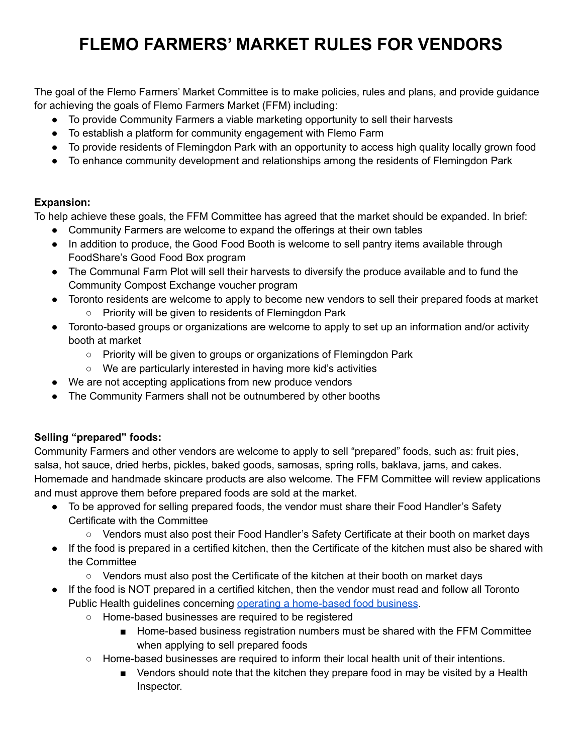# **FLEMO FARMERS' MARKET RULES FOR VENDORS**

The goal of the Flemo Farmers' Market Committee is to make policies, rules and plans, and provide guidance for achieving the goals of Flemo Farmers Market (FFM) including:

- To provide Community Farmers a viable marketing opportunity to sell their harvests
- To establish a platform for community engagement with Flemo Farm
- To provide residents of Flemingdon Park with an opportunity to access high quality locally grown food
- To enhance community development and relationships among the residents of Flemingdon Park

## **Expansion:**

To help achieve these goals, the FFM Committee has agreed that the market should be expanded. In brief:

- Community Farmers are welcome to expand the offerings at their own tables
- In addition to produce, the Good Food Booth is welcome to sell pantry items available through FoodShare's Good Food Box program
- The Communal Farm Plot will sell their harvests to diversify the produce available and to fund the Community Compost Exchange voucher program
- Toronto residents are welcome to apply to become new vendors to sell their prepared foods at market ○ Priority will be given to residents of Flemingdon Park
- Toronto-based groups or organizations are welcome to apply to set up an information and/or activity booth at market
	- Priority will be given to groups or organizations of Flemingdon Park
	- We are particularly interested in having more kid's activities
- We are not accepting applications from new produce vendors
- The Community Farmers shall not be outnumbered by other booths

## **Selling "prepared" foods:**

Community Farmers and other vendors are welcome to apply to sell "prepared" foods, such as: fruit pies, salsa, hot sauce, dried herbs, pickles, baked goods, samosas, spring rolls, baklava, jams, and cakes. Homemade and handmade skincare products are also welcome. The FFM Committee will review applications and must approve them before prepared foods are sold at the market.

- To be approved for selling prepared foods, the vendor must share their Food Handler's Safety Certificate with the Committee
	- Vendors must also post their Food Handler's Safety Certificate at their booth on market days
- If the food is prepared in a certified kitchen, then the Certificate of the kitchen must also be shared with the Committee
	- Vendors must also post the Certificate of the kitchen at their booth on market days
- If the food is NOT prepared in a certified kitchen, then the vendor must read and follow all Toronto Public Health guidelines concerning operating a [home-based](https://news.ontario.ca/en/release/59861/ontario-supporting-home-based-food-businesses-during-covid-19) food business.
	- Home-based businesses are required to be registered
		- Home-based business registration numbers must be shared with the FFM Committee when applying to sell prepared foods
	- Home-based businesses are required to inform their local health unit of their intentions.
		- Vendors should note that the kitchen they prepare food in may be visited by a Health Inspector.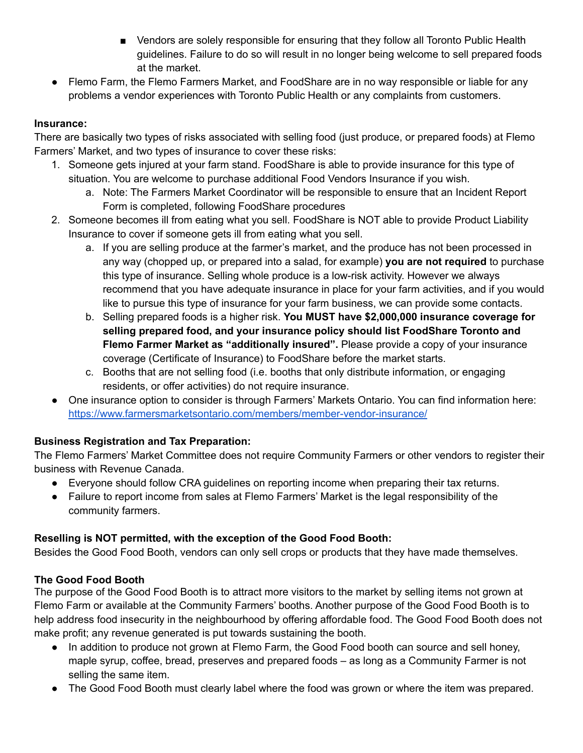- Vendors are solely responsible for ensuring that they follow all Toronto Public Health guidelines. Failure to do so will result in no longer being welcome to sell prepared foods at the market.
- Flemo Farm, the Flemo Farmers Market, and FoodShare are in no way responsible or liable for any problems a vendor experiences with Toronto Public Health or any complaints from customers.

#### **Insurance:**

There are basically two types of risks associated with selling food (just produce, or prepared foods) at Flemo Farmers' Market, and two types of insurance to cover these risks:

- 1. Someone gets injured at your farm stand. FoodShare is able to provide insurance for this type of situation. You are welcome to purchase additional Food Vendors Insurance if you wish.
	- a. Note: The Farmers Market Coordinator will be responsible to ensure that an Incident Report Form is completed, following FoodShare procedures
- 2. Someone becomes ill from eating what you sell. FoodShare is NOT able to provide Product Liability Insurance to cover if someone gets ill from eating what you sell.
	- a. If you are selling produce at the farmer's market, and the produce has not been processed in any way (chopped up, or prepared into a salad, for example) **you are not required** to purchase this type of insurance. Selling whole produce is a low-risk activity. However we always recommend that you have adequate insurance in place for your farm activities, and if you would like to pursue this type of insurance for your farm business, we can provide some contacts.
	- b. Selling prepared foods is a higher risk. **You MUST have \$2,000,000 insurance coverage for selling prepared food, and your insurance policy should list FoodShare Toronto and Flemo Farmer Market as "additionally insured".** Please provide a copy of your insurance coverage (Certificate of Insurance) to FoodShare before the market starts.
	- c. Booths that are not selling food (i.e. booths that only distribute information, or engaging residents, or offer activities) do not require insurance.
- One insurance option to consider is through Farmers' Markets Ontario. You can find information here: <https://www.farmersmarketsontario.com/members/member-vendor-insurance/>

## **Business Registration and Tax Preparation:**

The Flemo Farmers' Market Committee does not require Community Farmers or other vendors to register their business with Revenue Canada.

- Everyone should follow CRA guidelines on reporting income when preparing their tax returns.
- Failure to report income from sales at Flemo Farmers' Market is the legal responsibility of the community farmers.

## **Reselling is NOT permitted, with the exception of the Good Food Booth:**

Besides the Good Food Booth, vendors can only sell crops or products that they have made themselves.

## **The Good Food Booth**

The purpose of the Good Food Booth is to attract more visitors to the market by selling items not grown at Flemo Farm or available at the Community Farmers' booths. Another purpose of the Good Food Booth is to help address food insecurity in the neighbourhood by offering affordable food. The Good Food Booth does not make profit; any revenue generated is put towards sustaining the booth.

- In addition to produce not grown at Flemo Farm, the Good Food booth can source and sell honey, maple syrup, coffee, bread, preserves and prepared foods – as long as a Community Farmer is not selling the same item.
- The Good Food Booth must clearly label where the food was grown or where the item was prepared.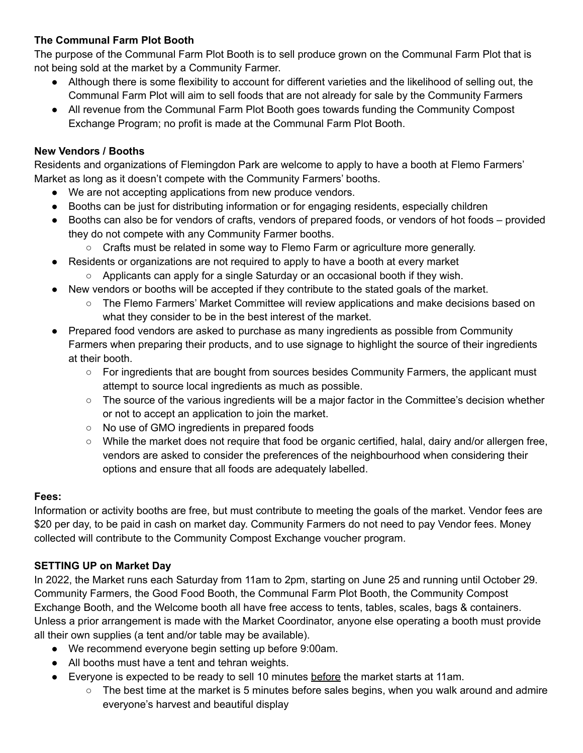## **The Communal Farm Plot Booth**

The purpose of the Communal Farm Plot Booth is to sell produce grown on the Communal Farm Plot that is not being sold at the market by a Community Farmer.

- Although there is some flexibility to account for different varieties and the likelihood of selling out, the Communal Farm Plot will aim to sell foods that are not already for sale by the Community Farmers
- All revenue from the Communal Farm Plot Booth goes towards funding the Community Compost Exchange Program; no profit is made at the Communal Farm Plot Booth.

#### **New Vendors / Booths**

Residents and organizations of Flemingdon Park are welcome to apply to have a booth at Flemo Farmers' Market as long as it doesn't compete with the Community Farmers' booths.

- We are not accepting applications from new produce vendors.
- Booths can be just for distributing information or for engaging residents, especially children
- Booths can also be for vendors of crafts, vendors of prepared foods, or vendors of hot foods provided they do not compete with any Community Farmer booths.
	- $\circ$  Crafts must be related in some way to Flemo Farm or agriculture more generally.
- Residents or organizations are not required to apply to have a booth at every market
	- Applicants can apply for a single Saturday or an occasional booth if they wish.
- New vendors or booths will be accepted if they contribute to the stated goals of the market.
	- The Flemo Farmers' Market Committee will review applications and make decisions based on what they consider to be in the best interest of the market.
- Prepared food vendors are asked to purchase as many ingredients as possible from Community Farmers when preparing their products, and to use signage to highlight the source of their ingredients at their booth.
	- For ingredients that are bought from sources besides Community Farmers, the applicant must attempt to source local ingredients as much as possible.
	- $\circ$  The source of the various ingredients will be a major factor in the Committee's decision whether or not to accept an application to join the market.
	- No use of GMO ingredients in prepared foods
	- While the market does not require that food be organic certified, halal, dairy and/or allergen free, vendors are asked to consider the preferences of the neighbourhood when considering their options and ensure that all foods are adequately labelled.

#### **Fees:**

Information or activity booths are free, but must contribute to meeting the goals of the market. Vendor fees are \$20 per day, to be paid in cash on market day. Community Farmers do not need to pay Vendor fees. Money collected will contribute to the Community Compost Exchange voucher program.

#### **SETTING UP on Market Day**

In 2022, the Market runs each Saturday from 11am to 2pm, starting on June 25 and running until October 29. Community Farmers, the Good Food Booth, the Communal Farm Plot Booth, the Community Compost Exchange Booth, and the Welcome booth all have free access to tents, tables, scales, bags & containers. Unless a prior arrangement is made with the Market Coordinator, anyone else operating a booth must provide all their own supplies (a tent and/or table may be available).

- We recommend everyone begin setting up before 9:00am.
- All booths must have a tent and tehran weights.
- Everyone is expected to be ready to sell 10 minutes before the market starts at 11am.
	- The best time at the market is 5 minutes before sales begins, when you walk around and admire everyone's harvest and beautiful display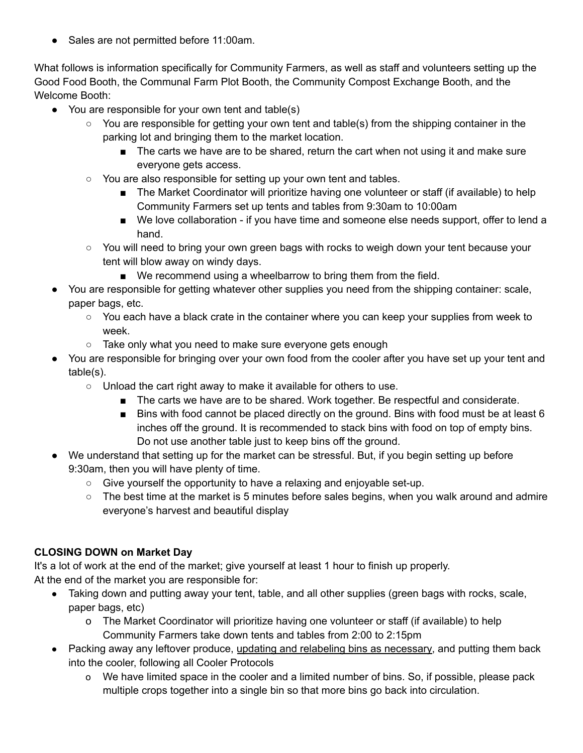● Sales are not permitted before 11:00am.

What follows is information specifically for Community Farmers, as well as staff and volunteers setting up the Good Food Booth, the Communal Farm Plot Booth, the Community Compost Exchange Booth, and the Welcome Booth:

- You are responsible for your own tent and table(s)
	- You are responsible for getting your own tent and table(s) from the shipping container in the parking lot and bringing them to the market location.
		- The carts we have are to be shared, return the cart when not using it and make sure everyone gets access.
	- You are also responsible for setting up your own tent and tables.
		- The Market Coordinator will prioritize having one volunteer or staff (if available) to help Community Farmers set up tents and tables from 9:30am to 10:00am
		- We love collaboration if you have time and someone else needs support, offer to lend a hand.
	- You will need to bring your own green bags with rocks to weigh down your tent because your tent will blow away on windy days.
		- We recommend using a wheelbarrow to bring them from the field.
- You are responsible for getting whatever other supplies you need from the shipping container: scale, paper bags, etc.
	- You each have a black crate in the container where you can keep your supplies from week to week.
	- Take only what you need to make sure everyone gets enough
- You are responsible for bringing over your own food from the cooler after you have set up your tent and table(s).
	- Unload the cart right away to make it available for others to use.
		- The carts we have are to be shared. Work together. Be respectful and considerate.
		- Bins with food cannot be placed directly on the ground. Bins with food must be at least 6 inches off the ground. It is recommended to stack bins with food on top of empty bins. Do not use another table just to keep bins off the ground.
- We understand that setting up for the market can be stressful. But, if you begin setting up before 9:30am, then you will have plenty of time.
	- Give yourself the opportunity to have a relaxing and enjoyable set-up.
	- $\circ$  The best time at the market is 5 minutes before sales begins, when you walk around and admire everyone's harvest and beautiful display

## **CLOSING DOWN on Market Day**

It's a lot of work at the end of the market; give yourself at least 1 hour to finish up properly. At the end of the market you are responsible for:

- Taking down and putting away your tent, table, and all other supplies (green bags with rocks, scale, paper bags, etc)
	- o The Market Coordinator will prioritize having one volunteer or staff (if available) to help Community Farmers take down tents and tables from 2:00 to 2:15pm
- Packing away any leftover produce, updating and relabeling bins as necessary, and putting them back into the cooler, following all Cooler Protocols
	- o We have limited space in the cooler and a limited number of bins. So, if possible, please pack multiple crops together into a single bin so that more bins go back into circulation.